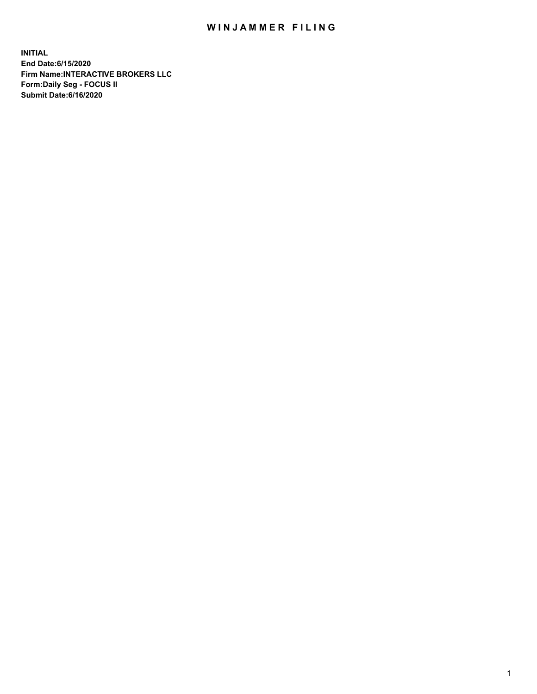## WIN JAMMER FILING

**INITIAL End Date:6/15/2020 Firm Name:INTERACTIVE BROKERS LLC Form:Daily Seg - FOCUS II Submit Date:6/16/2020**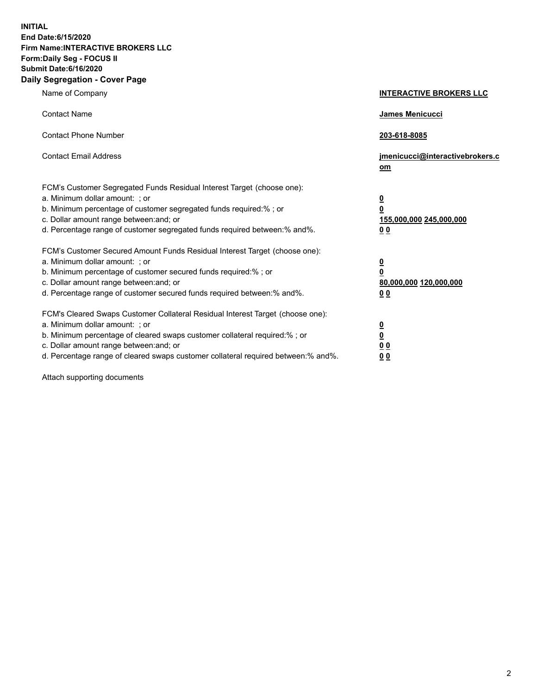**INITIAL End Date:6/15/2020 Firm Name:INTERACTIVE BROKERS LLC Form:Daily Seg - FOCUS II Submit Date:6/16/2020 Daily Segregation - Cover Page**

| Name of Company                                                                                                                                                                                                                                                                                                                | <b>INTERACTIVE BROKERS LLC</b>                                                                  |
|--------------------------------------------------------------------------------------------------------------------------------------------------------------------------------------------------------------------------------------------------------------------------------------------------------------------------------|-------------------------------------------------------------------------------------------------|
| <b>Contact Name</b>                                                                                                                                                                                                                                                                                                            | <b>James Menicucci</b>                                                                          |
| <b>Contact Phone Number</b>                                                                                                                                                                                                                                                                                                    | 203-618-8085                                                                                    |
| <b>Contact Email Address</b>                                                                                                                                                                                                                                                                                                   | jmenicucci@interactivebrokers.c<br>om                                                           |
| FCM's Customer Segregated Funds Residual Interest Target (choose one):<br>a. Minimum dollar amount: ; or<br>b. Minimum percentage of customer segregated funds required:%; or<br>c. Dollar amount range between: and; or<br>d. Percentage range of customer segregated funds required between:% and%.                          | $\overline{\mathbf{0}}$<br>$\overline{\mathbf{0}}$<br>155,000,000 245,000,000<br>0 <sub>0</sub> |
| FCM's Customer Secured Amount Funds Residual Interest Target (choose one):<br>a. Minimum dollar amount: ; or<br>b. Minimum percentage of customer secured funds required:%; or<br>c. Dollar amount range between: and; or<br>d. Percentage range of customer secured funds required between:% and%.                            | <u>0</u><br>$\overline{\mathbf{0}}$<br>80,000,000 120,000,000<br>0 <sub>0</sub>                 |
| FCM's Cleared Swaps Customer Collateral Residual Interest Target (choose one):<br>a. Minimum dollar amount: ; or<br>b. Minimum percentage of cleared swaps customer collateral required:% ; or<br>c. Dollar amount range between: and; or<br>d. Percentage range of cleared swaps customer collateral required between:% and%. | $\overline{\mathbf{0}}$<br>$\underline{\mathbf{0}}$<br>0 <sub>0</sub><br>00                     |

Attach supporting documents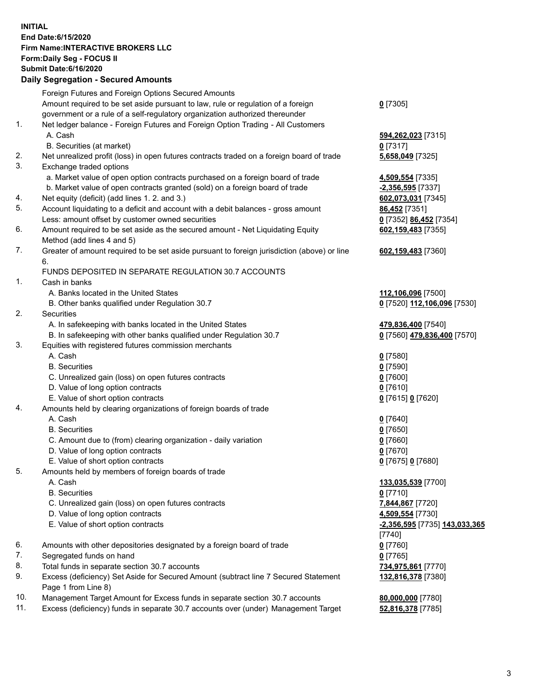## **INITIAL End Date:6/15/2020 Firm Name:INTERACTIVE BROKERS LLC Form:Daily Seg - FOCUS II Submit Date:6/16/2020 Daily Segregation - Secured Amounts**

|     | Daily Segregation - Secured Amounts                                                         |                               |
|-----|---------------------------------------------------------------------------------------------|-------------------------------|
|     | Foreign Futures and Foreign Options Secured Amounts                                         |                               |
|     | Amount required to be set aside pursuant to law, rule or regulation of a foreign            | $0$ [7305]                    |
|     | government or a rule of a self-regulatory organization authorized thereunder                |                               |
| 1.  | Net ledger balance - Foreign Futures and Foreign Option Trading - All Customers             |                               |
|     | A. Cash                                                                                     | 594,262,023 [7315]            |
|     | B. Securities (at market)                                                                   | $0$ [7317]                    |
| 2.  | Net unrealized profit (loss) in open futures contracts traded on a foreign board of trade   | 5,658,049 [7325]              |
| 3.  | Exchange traded options                                                                     |                               |
|     | a. Market value of open option contracts purchased on a foreign board of trade              | 4,509,554 [7335]              |
|     | b. Market value of open contracts granted (sold) on a foreign board of trade                | $-2,356,595$ [7337]           |
| 4.  | Net equity (deficit) (add lines 1. 2. and 3.)                                               | 602,073,031 [7345]            |
| 5.  | Account liquidating to a deficit and account with a debit balances - gross amount           | 86,452 [7351]                 |
|     | Less: amount offset by customer owned securities                                            | 0 [7352] 86,452 [7354]        |
| 6.  | Amount required to be set aside as the secured amount - Net Liquidating Equity              | 602,159,483 [7355]            |
|     | Method (add lines 4 and 5)                                                                  |                               |
| 7.  | Greater of amount required to be set aside pursuant to foreign jurisdiction (above) or line | 602,159,483 [7360]            |
|     | 6.                                                                                          |                               |
|     | FUNDS DEPOSITED IN SEPARATE REGULATION 30.7 ACCOUNTS                                        |                               |
| 1.  | Cash in banks                                                                               |                               |
|     | A. Banks located in the United States                                                       | 112,106,096 [7500]            |
|     | B. Other banks qualified under Regulation 30.7                                              | 0 [7520] 112,106,096 [7530]   |
| 2.  | Securities                                                                                  |                               |
|     | A. In safekeeping with banks located in the United States                                   | 479,836,400 [7540]            |
|     | B. In safekeeping with other banks qualified under Regulation 30.7                          | 0 [7560] 479,836,400 [7570]   |
| 3.  | Equities with registered futures commission merchants                                       |                               |
|     | A. Cash                                                                                     | $0$ [7580]                    |
|     | <b>B.</b> Securities                                                                        | $0$ [7590]                    |
|     | C. Unrealized gain (loss) on open futures contracts                                         | $0$ [7600]                    |
|     | D. Value of long option contracts                                                           | $0$ [7610]                    |
|     | E. Value of short option contracts                                                          | 0 [7615] 0 [7620]             |
| 4.  | Amounts held by clearing organizations of foreign boards of trade                           |                               |
|     | A. Cash                                                                                     | $0$ [7640]                    |
|     | <b>B.</b> Securities                                                                        | $0$ [7650]                    |
|     | C. Amount due to (from) clearing organization - daily variation                             | $0$ [7660]                    |
|     | D. Value of long option contracts                                                           | $0$ [7670]                    |
|     | E. Value of short option contracts                                                          | 0 [7675] 0 [7680]             |
| 5.  | Amounts held by members of foreign boards of trade                                          |                               |
|     | A. Cash                                                                                     | 133,035,539 [7700]            |
|     | <b>B.</b> Securities                                                                        | $0$ [7710]                    |
|     | C. Unrealized gain (loss) on open futures contracts                                         | 7,844,867 [7720]              |
|     | D. Value of long option contracts                                                           | 4,509,554 [7730]              |
|     | E. Value of short option contracts                                                          | -2,356,595 [7735] 143,033,365 |
|     |                                                                                             | [7740]                        |
| 6.  | Amounts with other depositories designated by a foreign board of trade                      | $0$ [7760]                    |
| 7.  | Segregated funds on hand                                                                    | $0$ [7765]                    |
| 8.  | Total funds in separate section 30.7 accounts                                               | 734,975,861 [7770]            |
| 9.  | Excess (deficiency) Set Aside for Secured Amount (subtract line 7 Secured Statement         | 132,816,378 [7380]            |
|     | Page 1 from Line 8)                                                                         |                               |
| 10. | Management Target Amount for Excess funds in separate section 30.7 accounts                 | 80,000,000 [7780]             |
| 11. | Excess (deficiency) funds in separate 30.7 accounts over (under) Management Target          | 52,816,378 [7785]             |
|     |                                                                                             |                               |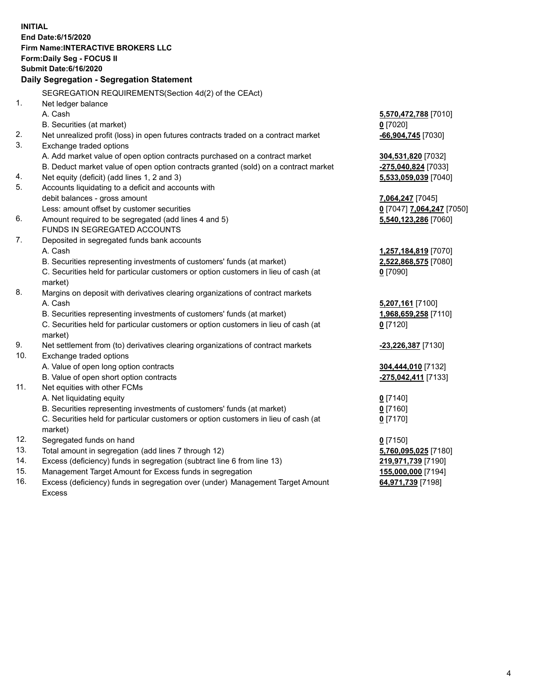**INITIAL End Date:6/15/2020 Firm Name:INTERACTIVE BROKERS LLC Form:Daily Seg - FOCUS II Submit Date:6/16/2020 Daily Segregation - Segregation Statement** SEGREGATION REQUIREMENTS(Section 4d(2) of the CEAct) 1. Net ledger balance A. Cash **5,570,472,788** [7010] B. Securities (at market) **0** [7020] 2. Net unrealized profit (loss) in open futures contracts traded on a contract market **-66,904,745** [7030] 3. Exchange traded options A. Add market value of open option contracts purchased on a contract market **304,531,820** [7032] B. Deduct market value of open option contracts granted (sold) on a contract market **-275,040,824** [7033] 4. Net equity (deficit) (add lines 1, 2 and 3) **5,533,059,039** [7040] 5. Accounts liquidating to a deficit and accounts with debit balances - gross amount **7,064,247** [7045] Less: amount offset by customer securities **0** [7047] **7,064,247** [7050] 6. Amount required to be segregated (add lines 4 and 5) **5,540,123,286** [7060] FUNDS IN SEGREGATED ACCOUNTS 7. Deposited in segregated funds bank accounts A. Cash **1,257,184,819** [7070] B. Securities representing investments of customers' funds (at market) **2,522,868,575** [7080] C. Securities held for particular customers or option customers in lieu of cash (at market) **0** [7090] 8. Margins on deposit with derivatives clearing organizations of contract markets A. Cash **5,207,161** [7100] B. Securities representing investments of customers' funds (at market) **1,968,659,258** [7110] C. Securities held for particular customers or option customers in lieu of cash (at market) **0** [7120] 9. Net settlement from (to) derivatives clearing organizations of contract markets **-23,226,387** [7130] 10. Exchange traded options A. Value of open long option contracts **304,444,010** [7132] B. Value of open short option contracts **-275,042,411** [7133] 11. Net equities with other FCMs A. Net liquidating equity **0** [7140] B. Securities representing investments of customers' funds (at market) **0** [7160] C. Securities held for particular customers or option customers in lieu of cash (at market) **0** [7170] 12. Segregated funds on hand **0** [7150] 13. Total amount in segregation (add lines 7 through 12) **5,760,095,025** [7180] 14. Excess (deficiency) funds in segregation (subtract line 6 from line 13) **219,971,739** [7190] 15. Management Target Amount for Excess funds in segregation **155,000,000** [7194] 16. Excess (deficiency) funds in segregation over (under) Management Target Amount **64,971,739** [7198]

Excess